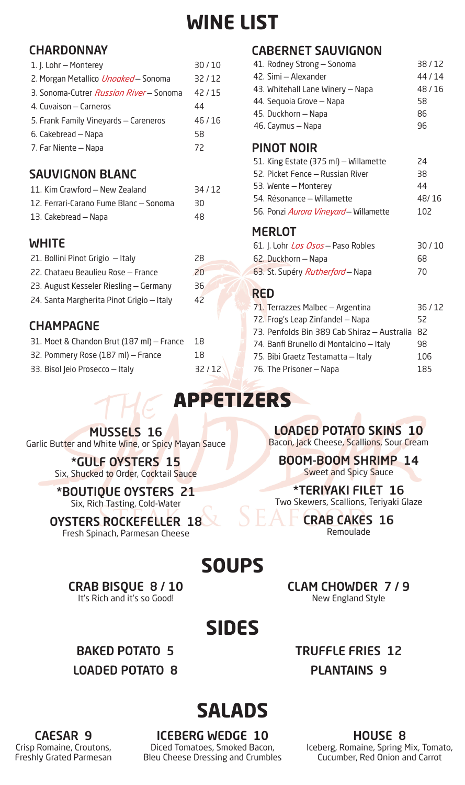# **WINE LIST**

### **CHARDONNAY**

| 1. J. Lohr - Monterey                          | 30/10 |
|------------------------------------------------|-------|
| 2. Morgan Metallico Unoaked - Sonoma           | 32/12 |
| 3. Sonoma-Cutrer <i>Russian River</i> – Sonoma | 42/15 |
| 4. Cuvaison – Carneros                         | 44    |
| 5. Frank Family Vineyards - Careneros          | 46/16 |
| 6. Cakebread - Napa                            | 58    |
| 7. Far Niente - Napa                           | 72    |

## SAUVIGNON BLANC

| 11. Kim Crawford - New Zealand         | 34/12 |
|----------------------------------------|-------|
| 12. Ferrari-Carano Fume Blanc – Sonoma | 30.   |
| 13. Cakebread - Napa                   | 48    |

#### WHITE

| 21. Bollini Pinot Grigio - Italy          | 28  |
|-------------------------------------------|-----|
| 22. Chataeu Beaulieu Rose - France        | 20  |
| 23. August Kesseler Riesling - Germany    | 36. |
| 24. Santa Margherita Pinot Grigio - Italy | 42  |
|                                           |     |

### CHAMPAGNE

| 31. Moet & Chandon Brut (187 ml) - France | -18   |
|-------------------------------------------|-------|
| 32. Pommery Rose (187 ml) - France        | 18    |
| 33. Bisol Jeio Prosecco - Italy           | 32/12 |

## CABERNET SAUVIGNON

| 41. Rodney Strong - Sonoma       | 38/12 |
|----------------------------------|-------|
| 42. Simi - Alexander             | 44/14 |
| 43. Whitehall Lane Winery - Napa | 48/16 |
| 44. Sequoia Grove - Napa         | 58    |
| 45. Duckhorn - Napa              | 86    |
| 46. Caymus - Napa                | 96    |
|                                  |       |

#### PINOT NOIR

| 24    |
|-------|
| 38    |
| 44    |
| 48/16 |
| 102   |
|       |

### **MERLOT**

| 61. J. Lohr Los Osos - Paso Robles      | 30/10 |
|-----------------------------------------|-------|
| 62. Duckhorn - Napa                     | 68    |
| 63. St. Supéry <i>Rutherford</i> - Napa | 70    |

#### RED

| 71. Terrazzes Malbec - Argentina               | 36/12 |
|------------------------------------------------|-------|
| 72. Frog's Leap Zinfandel - Napa               | 52    |
| 73. Penfolds Bin 389 Cab Shiraz - Australia 82 |       |
| 74. Banfi Brunello di Montalcino - Italy       | 98    |
| 75. Bibi Graetz Testamatta - Italy             | 106   |
| 76. The Prisoner - Napa                        | 185   |

## APPETIZERS

MUSSELS 16

Garlic Butter and White Wine, or Spicy Mayan Sauce

\*GULF OYSTERS 15 Six, Shucked to Order, Cocktail Sauce

\*BOUTIQUE OYSTERS 21 Six, Rich Tasting, Cold-Water

OYSTERS ROCKEFELLER 18 Fresh Spinach, Parmesan Cheese

LOADED POTATO SKINS 10

Bacon, Jack Cheese, Scallions, Sour Cream

BOOM-BOOM SHRIMP 14

Sweet and Spicy Sauce

\*TERIYAKI FILET 16 Two Skewers, Scallions, Teriyaki Glaze

> CRAB CAKES 16 Remoulade

CLAM CHOWDER 7 / 9 New England Style

## **SOUPS**

#### CRAB BISQUE 8 / 10

It's Rich and it's so Good!

## **SIDES**

BAKED POTATO 5 LOADED POTATO 8 TRUFFLE FRIES 12 PLANTAINS 9

# **SALADS**

CAESAR 9 Crisp Romaine, Croutons, Freshly Grated Parmesan

ICEBERG WEDGE 10 Diced Tomatoes, Smoked Bacon, Bleu Cheese Dressing and Crumbles HOUSE 8

Iceberg, Romaine, Spring Mix, Tomato, Cucumber, Red Onion and Carrot